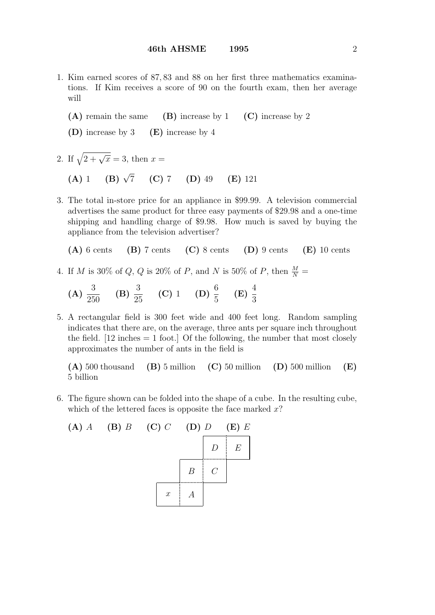- 1. Kim earned scores of 87, 83 and 88 on her first three mathematics examinations. If Kim receives a score of 90 on the fourth exam, then her average will
	- (A) remain the same (B) increase by 1 (C) increase by 2
	- (D) increase by 3 (E) increase by 4
- 2. If  $\sqrt{2 + \sqrt{x}} = 3$ , then  $x =$ 
	- (A) 1 (B)  $\sqrt{7}$  (C) 7 (D) 49 (E) 121
- 3. The total in-store price for an appliance in \$99.99. A television commercial advertises the same product for three easy payments of \$29.98 and a one-time shipping and handling charge of \$9.98. How much is saved by buying the appliance from the television advertiser?
	- $(A)$  6 cents  $(B)$  7 cents  $(C)$  8 cents  $(D)$  9 cents  $(E)$  10 cents
- 4. If M is 30% of Q, Q is 20% of P, and N is 50% of P, then  $\frac{M}{N}$  =

(A) 
$$
\frac{3}{250}
$$
 (B)  $\frac{3}{25}$  (C) 1 (D)  $\frac{6}{5}$  (E)  $\frac{4}{3}$ 

5. A rectangular field is 300 feet wide and 400 feet long. Random sampling indicates that there are, on the average, three ants per square inch throughout the field.  $[12 \text{ inches} = 1 \text{ foot.}]$  Of the following, the number that most closely approximates the number of ants in the field is

(A) 500 thousand (B) 5 million (C) 50 million (D) 500 million (E) 5 billion

6. The figure shown can be folded into the shape of a cube. In the resulting cube, which of the lettered faces is opposite the face marked  $x$ ?

(A) 
$$
A
$$
 (B)  $B$  (C)  $C$  (D)  $D$  (E)  $E$ 

\n
$$
\begin{array}{c|c|c|c|c|c|c|c|c} \hline \multicolumn{3}{c|}{D} & E \\ \hline \multicolumn{3}{c}{E} & C \\ \hline \multicolumn{3}{c}{x} & A \\ \hline \end{array}
$$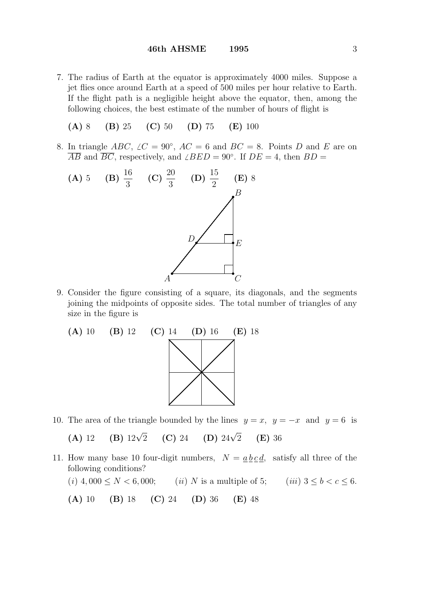7. The radius of Earth at the equator is approximately 4000 miles. Suppose a jet flies once around Earth at a speed of 500 miles per hour relative to Earth. If the flight path is a negligible height above the equator, then, among the following choices, the best estimate of the number of hours of flight is

(A) 8 (B) 25 (C) 50 (D) 75 (E) 100

8. In triangle ABC,  $\angle C = 90^{\circ}$ ,  $\angle A = 6$  and  $\angle BC = 8$ . Points D and E are on  $\overline{AB}$  and  $\overline{BC}$ , respectively, and  $\angle BED = 90^\circ$ . If  $DE = 4$ , then  $BD = 6$ 



9. Consider the figure consisting of a square, its diagonals, and the segments joining the midpoints of opposite sides. The total number of triangles of any size in the figure is



10. The area of the triangle bounded by the lines  $y = x$ ,  $y = -x$  and  $y = 6$  is

(A) 12 (B)  $12\sqrt{2}$ (C) 24 (D)  $24\sqrt{2}$  $(E)$  36

11. How many base 10 four-digit numbers,  $N = a b c d$ , satisfy all three of the following conditions?

(i) 
$$
4,000 \le N < 6,000;
$$
 (ii) N is a multiple of 5; (iii)  $3 \le b < c \le 6$ .  
(A) 10 (B) 18 (C) 24 (D) 36 (E) 48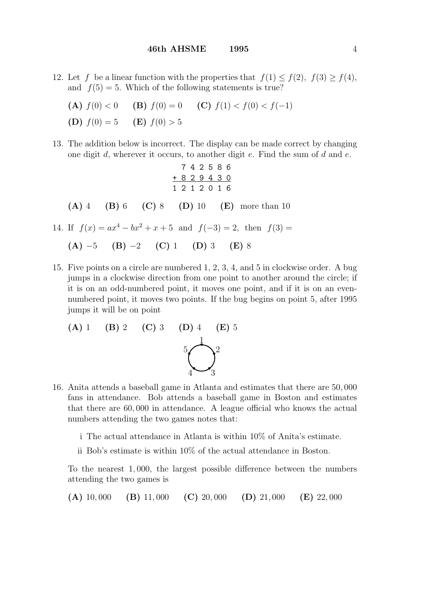- 12. Let f be a linear function with the properties that  $f(1) \leq f(2)$ ,  $f(3) \geq f(4)$ , and  $f(5) = 5$ . Which of the following statements is true?
	- (A)  $f(0) < 0$  (B)  $f(0) = 0$  (C)  $f(1) < f(0) < f(-1)$
	- (D)  $f(0) = 5$  (E)  $f(0) > 5$
- 13. The addition below is incorrect. The display can be made correct by changing one digit  $d$ , wherever it occurs, to another digit  $e$ . Find the sum of  $d$  and  $e$ .

$$
7 4 2 5 8 6
$$
  
\n
$$
+ 8 2 9 4 3 0
$$
  
\n1 2 1 2 0 1 6  
\n(A) 4 (B) 6 (C) 8 (D) 10 (E) more than 10  
\n14. If  $f(x) = ax^4 - bx^2 + x + 5$  and  $f(-3) = 2$ , then  $f(3) =$ 

(A) 
$$
-5
$$
 (B)  $-2$  (C) 1 (D) 3 (E) 8

15. Five points on a circle are numbered 1, 2, 3, 4, and 5 in clockwise order. A bug jumps in a clockwise direction from one point to another around the circle; if it is on an odd-numbered point, it moves one point, and if it is on an evennumbered point, it moves two points. If the bug begins on point 5, after 1995 jumps it will be on point

(A) 1 (B) 2 (C) 3 (D) 4 (E) 5  

$$
\begin{matrix} 1 \\ 0 \\ 4 \end{matrix}
$$

- 16. Anita attends a baseball game in Atlanta and estimates that there are 50, 000 fans in attendance. Bob attends a baseball game in Boston and estimates that there are 60, 000 in attendance. A league official who knows the actual numbers attending the two games notes that:
	- i The actual attendance in Atlanta is within 10% of Anita's estimate.
	- ii Bob's estimate is within 10% of the actual attendance in Boston.

To the nearest 1, 000, the largest possible difference between the numbers attending the two games is

(A) 10,000 (B) 11,000 (C) 20,000 (D) 21,000 (E) 22,000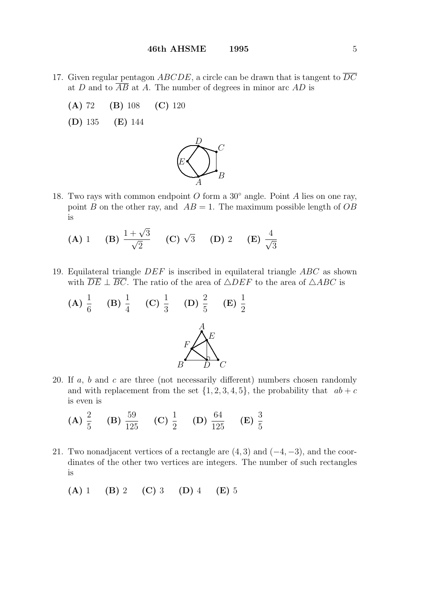- 17. Given regular pentagon ABCDE, a circle can be drawn that is tangent to  $\overline{DC}$ at D and to  $\overline{AB}$  at A. The number of degrees in minor arc AD is
	- (A) 72 (B) 108 (C) 120
	- (D) 135 (E) 144



- 18. Two rays with common endpoint O form a  $30°$  angle. Point A lies on one ray, point B on the other ray, and  $AB = 1$ . The maximum possible length of OB is
	- (A) 1 (B)  $\frac{1+\sqrt{}}{\sqrt{2}}$  $+\frac{\sqrt{3}}{2}$ 2 (C)  $\sqrt{3}$  (D) 2 (E)  $\frac{4}{7}$ 3
- 19. Equilateral triangle DEF is inscribed in equilateral triangle ABC as shown with  $\overline{DE} \perp \overline{BC}$ . The ratio of the area of  $\triangle DEF$  to the area of  $\triangle ABC$  is

(A) 
$$
\frac{1}{6}
$$
 (B)  $\frac{1}{4}$  (C)  $\frac{1}{3}$  (D)  $\frac{2}{5}$  (E)  $\frac{1}{2}$   

$$
F \left(\bigtimes_{D}^{A} E\right) C
$$

- 20. If  $a, b$  and  $c$  are three (not necessarily different) numbers chosen randomly and with replacement from the set  $\{1, 2, 3, 4, 5\}$ , the probability that  $ab + c$ is even is
	- (A)  $\frac{2}{5}$ 5  $(B) \frac{59}{101}$ 125 (C)  $\frac{1}{2}$ 2  $(D) \frac{64}{10!}$ 125  $(E) \frac{3}{5}$ 5
- 21. Two nonadjacent vertices of a rectangle are  $(4, 3)$  and  $(-4, -3)$ , and the coordinates of the other two vertices are integers. The number of such rectangles is
	- (A) 1 (B) 2 (C) 3 (D) 4 (E) 5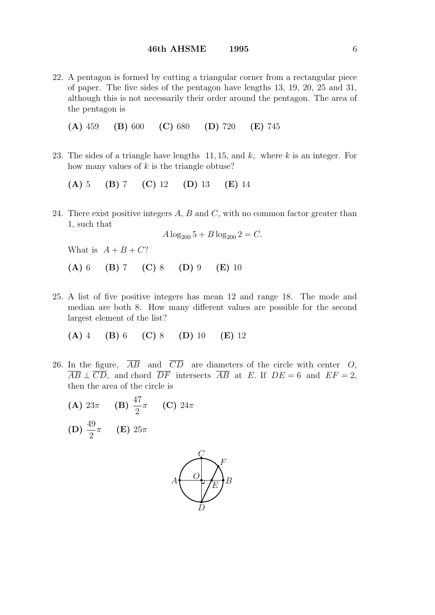22. A pentagon is formed by cutting a triangular corner from a rectangular piece of paper. The five sides of the pentagon have lengths 13, 19, 20, 25 and 31, although this is not necessarily their order around the pentagon. The area of the pentagon is

(A) 459 (B) 600 (C) 680 (D) 720 (E) 745

23. The sides of a triangle have lengths  $11, 15$ , and k, where k is an integer. For how many values of  $k$  is the triangle obtuse?

(A) 5 (B) 7 (C) 12 (D) 13 (E) 14

24. There exist positive integers  $A, B$  and  $C$ , with no common factor greater than 1, such that

$$
A \log_{200} 5 + B \log_{200} 2 = C.
$$

What is  $A + B + C$ ?

(A) 6 (B) 7 (C) 8 (D) 9 (E) 10

25. A list of five positive integers has mean 12 and range 18. The mode and median are both 8. How many different values are possible for the second largest element of the list?

$$
(A) 4 (B) 6 (C) 8 (D) 10 (E) 12
$$

- 26. In the figure,  $\overline{AB}$  and  $\overline{CD}$  are diameters of the circle with center O,  $\overline{AB} \perp \overline{CD}$ , and chord  $\overline{DF}$  intersects  $\overline{AB}$  at E. If  $DE = 6$  and  $EF = 2$ , then the area of the circle is
	- (A)  $23\pi$  (B)  $\frac{47}{9}$ 2 (C)  $24\pi$ (D)  $\frac{49}{9}$ 2  $\pi$  (E)  $25\pi$

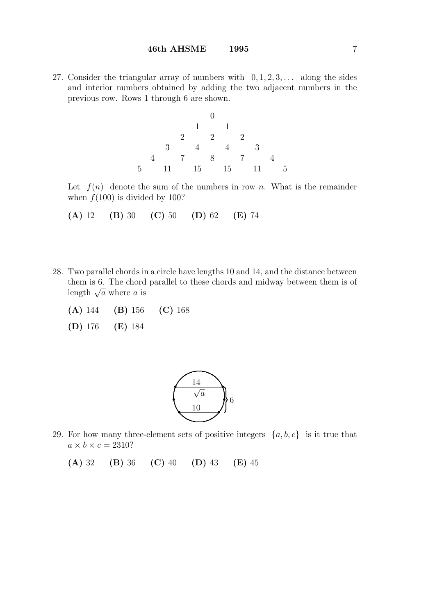27. Consider the triangular array of numbers with  $0, 1, 2, 3, \ldots$  along the sides and interior numbers obtained by adding the two adjacent numbers in the previous row. Rows 1 through 6 are shown.



Let  $f(n)$  denote the sum of the numbers in row n. What is the remainder when  $f(100)$  is divided by 100?

(A) 12 (B) 30 (C) 50 (D) 62 (E) 74

- 28. Two parallel chords in a circle have lengths 10 and 14, and the distance between them is 6. The chord parallel to these chords and midway between them is of them is 0. The chord<br>length  $\sqrt{a}$  where a is
	- (A) 144 (B) 156 (C) 168
	- (D) 176 (E) 184



29. For how many three-element sets of positive integers  $\{a, b, c\}$  is it true that  $a \times b \times c = 2310?$ 

(A) 32 (B) 36 (C) 40 (D) 43 (E) 45